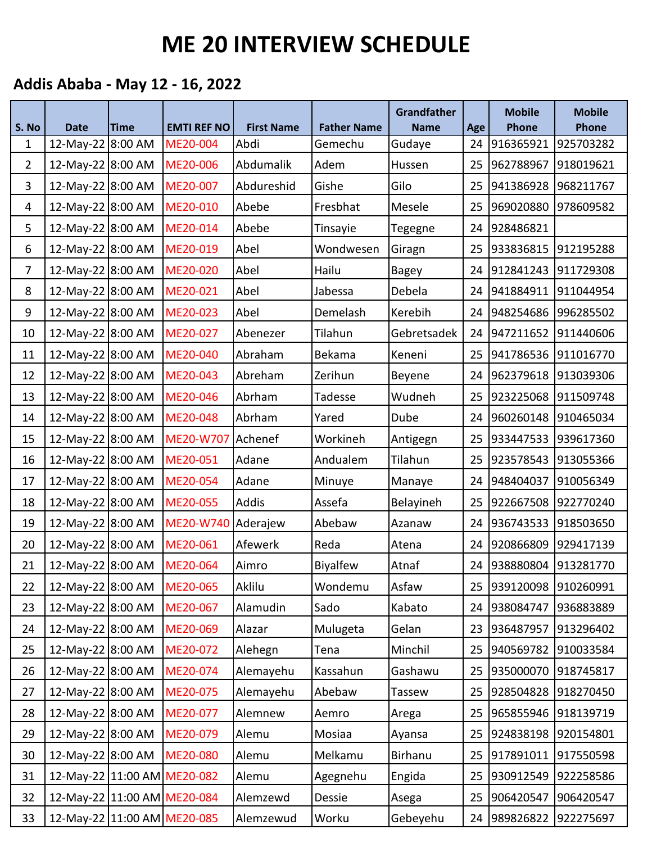| S. No          | <b>Date</b>                 | <b>Time</b> | <b>EMTI REF NO</b> | <b>First Name</b> | <b>Father Name</b> | <b>Grandfather</b><br><b>Name</b> | Age | <b>Mobile</b><br><b>Phone</b> | <b>Mobile</b><br>Phone |
|----------------|-----------------------------|-------------|--------------------|-------------------|--------------------|-----------------------------------|-----|-------------------------------|------------------------|
| $\mathbf{1}$   | 12-May-22 8:00 AM           |             | ME20-004           | Abdi              | Gemechu            | Gudaye                            | 24  | 916365921                     | 925703282              |
| $\overline{2}$ | 12-May-22 8:00 AM           |             | ME20-006           | Abdumalik         | Adem               | Hussen                            | 25  | 962788967                     | 918019621              |
| 3              | 12-May-22 8:00 AM           |             | ME20-007           | Abdureshid        | Gishe              | Gilo                              | 25  | 941386928                     | 968211767              |
| $\overline{4}$ | 12-May-22 8:00 AM           |             | ME20-010           | Abebe             | Fresbhat           | Mesele                            | 25  | 969020880                     | 978609582              |
| 5              | 12-May-22 8:00 AM           |             | ME20-014           | Abebe             | Tinsayie           | Tegegne                           | 24  | 928486821                     |                        |
| 6              | 12-May-22 8:00 AM           |             | ME20-019           | Abel              | Wondwesen          | Giragn                            | 25  | 933836815                     | 912195288              |
| $\overline{7}$ | 12-May-22 8:00 AM           |             | ME20-020           | Abel              | Hailu              | <b>Bagey</b>                      | 24  | 912841243                     | 911729308              |
| 8              | 12-May-22 8:00 AM           |             | ME20-021           | Abel              | Jabessa            | Debela                            | 24  | 941884911                     | 911044954              |
| 9              | 12-May-22 8:00 AM           |             | ME20-023           | Abel              | Demelash           | Kerebih                           | 24  | 948254686                     | 996285502              |
| 10             | 12-May-22 8:00 AM           |             | ME20-027           | Abenezer          | Tilahun            | Gebretsadek                       | 24  | 947211652                     | 911440606              |
| 11             | 12-May-22 8:00 AM           |             | ME20-040           | Abraham           | Bekama             | Keneni                            | 25  | 941786536                     | 911016770              |
| 12             | 12-May-22 8:00 AM           |             | ME20-043           | Abreham           | Zerihun            | Beyene                            | 24  | 962379618                     | 913039306              |
| 13             | 12-May-22 8:00 AM           |             | ME20-046           | Abrham            | Tadesse            | Wudneh                            | 25  | 923225068                     | 911509748              |
| 14             | 12-May-22 8:00 AM           |             | ME20-048           | Abrham            | Yared              | Dube                              | 24  | 960260148                     | 910465034              |
| 15             | 12-May-22 8:00 AM           |             | ME20-W707          | Achenef           | Workineh           | Antigegn                          | 25  | 933447533                     | 939617360              |
| 16             | 12-May-22 8:00 AM           |             | ME20-051           | Adane             | Andualem           | Tilahun                           | 25  | 923578543                     | 913055366              |
| 17             | 12-May-22 8:00 AM           |             | ME20-054           | Adane             | Minuye             | Manaye                            | 24  | 948404037                     | 910056349              |
| 18             | 12-May-22 8:00 AM           |             | ME20-055           | <b>Addis</b>      | Assefa             | Belayineh                         | 25  | 922667508                     | 922770240              |
| 19             | 12-May-22 8:00 AM           |             | ME20-W740          | Aderajew          | Abebaw             | Azanaw                            | 24  | 936743533                     | 918503650              |
| 20             | 12-May-22 8:00 AM           |             | ME20-061           | Afewerk           | Reda               | Atena                             | 24  | 920866809                     | 929417139              |
| 21             | 12-May-22 8:00 AM           |             | ME20-064           | Aimro             | <b>Biyalfew</b>    | Atnaf                             | 24  | 938880804                     | 913281770              |
| 22             | 12-May-22 8:00 AM           |             | ME20-065           | Aklilu            | Wondemu            | Asfaw                             | 25  | 939120098                     | 910260991              |
| 23             | 12-May-22 8:00 AM           |             | ME20-067           | Alamudin          | Sado               | Kabato                            | 24  | 938084747                     | 936883889              |
| 24             | 12-May-22 8:00 AM           |             | ME20-069           | Alazar            | Mulugeta           | Gelan                             | 23  | 936487957                     | 913296402              |
| 25             | 12-May-22 8:00 AM           |             | ME20-072           | Alehegn           | Tena               | Minchil                           | 25  | 940569782                     | 910033584              |
| 26             | 12-May-22 8:00 AM           |             | ME20-074           | Alemayehu         | Kassahun           | Gashawu                           | 25  | 935000070                     | 918745817              |
| 27             | 12-May-22 8:00 AM           |             | ME20-075           | Alemayehu         | Abebaw             | Tassew                            | 25  | 928504828                     | 918270450              |
| 28             | 12-May-22 8:00 AM           |             | ME20-077           | Alemnew           | Aemro              | Arega                             | 25  | 965855946                     | 918139719              |
| 29             | 12-May-22 8:00 AM           |             | ME20-079           | Alemu             | Mosiaa             | Ayansa                            | 25  | 924838198                     | 920154801              |
| 30             | 12-May-22 8:00 AM           |             | ME20-080           | Alemu             | Melkamu            | <b>Birhanu</b>                    | 25  | 917891011                     | 917550598              |
| 31             | 12-May-22 11:00 AM ME20-082 |             |                    | Alemu             | Agegnehu           | Engida                            | 25  | 930912549                     | 922258586              |
| 32             | 12-May-22 11:00 AM ME20-084 |             |                    | Alemzewd          | Dessie             | Asega                             | 25  | 906420547                     | 906420547              |
| 33             | 12-May-22 11:00 AM ME20-085 |             |                    | Alemzewud         | Worku              | Gebeyehu                          | 24  | 989826822                     | 922275697              |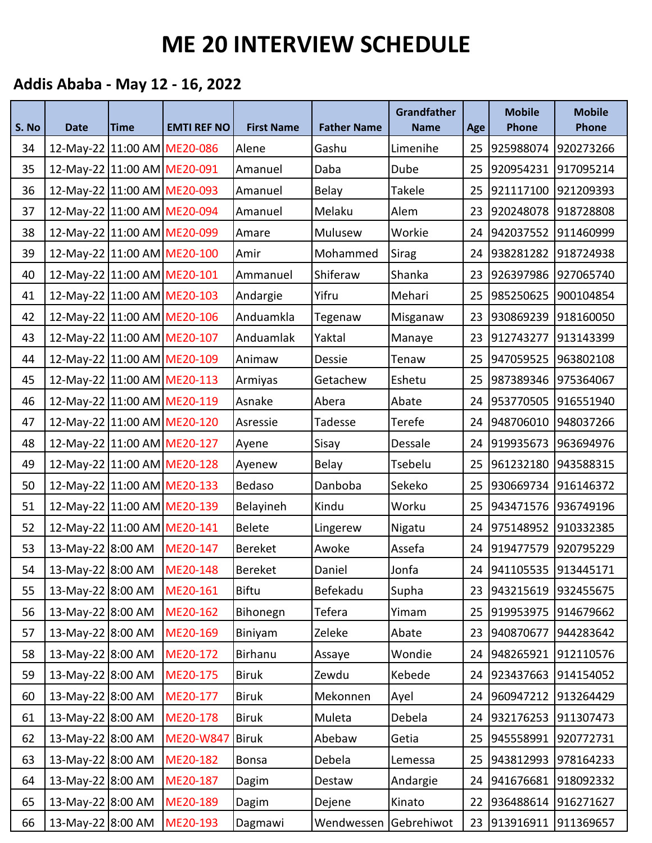| S. No | <b>Date</b>                 | <b>Time</b> | <b>EMTI REF NO</b> | <b>First Name</b> | <b>Father Name</b>    | <b>Grandfather</b><br><b>Name</b> | Age | <b>Mobile</b><br><b>Phone</b> | <b>Mobile</b><br>Phone |
|-------|-----------------------------|-------------|--------------------|-------------------|-----------------------|-----------------------------------|-----|-------------------------------|------------------------|
| 34    | 12-May-22 11:00 AM ME20-086 |             |                    | Alene             | Gashu                 | Limenihe                          | 25  | 925988074                     | 920273266              |
| 35    | 12-May-22 11:00 AM ME20-091 |             |                    | Amanuel           | Daba                  | Dube                              | 25  | 920954231                     | 917095214              |
| 36    | 12-May-22 11:00 AM ME20-093 |             |                    | Amanuel           | <b>Belay</b>          | Takele                            | 25  | 921117100                     | 921209393              |
| 37    | 12-May-22 11:00 AM ME20-094 |             |                    | Amanuel           | Melaku                | Alem                              | 23  | 920248078                     | 918728808              |
| 38    | 12-May-22 11:00 AM ME20-099 |             |                    | Amare             | Mulusew               | Workie                            | 24  | 942037552                     | 911460999              |
| 39    | 12-May-22 11:00 AM ME20-100 |             |                    | Amir              | Mohammed              | Sirag                             | 24  | 938281282                     | 918724938              |
| 40    | 12-May-22 11:00 AM ME20-101 |             |                    | Ammanuel          | Shiferaw              | Shanka                            | 23  | 926397986                     | 927065740              |
| 41    | 12-May-22 11:00 AM ME20-103 |             |                    | Andargie          | Yifru                 | Mehari                            | 25  | 985250625                     | 900104854              |
| 42    | 12-May-22 11:00 AM ME20-106 |             |                    | Anduamkla         | Tegenaw               | Misganaw                          | 23  | 930869239                     | 918160050              |
| 43    | 12-May-22 11:00 AM ME20-107 |             |                    | Anduamlak         | Yaktal                | Manaye                            | 23  | 912743277                     | 913143399              |
| 44    | 12-May-22 11:00 AM ME20-109 |             |                    | Animaw            | Dessie                | Tenaw                             | 25  | 947059525                     | 963802108              |
| 45    | 12-May-22 11:00 AM ME20-113 |             |                    | Armiyas           | Getachew              | Eshetu                            | 25  | 987389346                     | 975364067              |
| 46    | 12-May-22 11:00 AM ME20-119 |             |                    | Asnake            | Abera                 | Abate                             | 24  | 953770505                     | 916551940              |
| 47    | 12-May-22 11:00 AM ME20-120 |             |                    | Asressie          | Tadesse               | Terefe                            | 24  | 948706010                     | 948037266              |
| 48    | 12-May-22 11:00 AM ME20-127 |             |                    | Ayene             | Sisay                 | Dessale                           | 24  | 919935673                     | 963694976              |
| 49    | 12-May-22 11:00 AM ME20-128 |             |                    | Ayenew            | <b>Belay</b>          | Tsebelu                           | 25  | 961232180                     | 943588315              |
| 50    | 12-May-22 11:00 AM ME20-133 |             |                    | Bedaso            | Danboba               | Sekeko                            | 25  | 930669734                     | 916146372              |
| 51    | 12-May-22 11:00 AM ME20-139 |             |                    | Belayineh         | Kindu                 | Worku                             | 25  | 943471576                     | 936749196              |
| 52    | 12-May-22 11:00 AM ME20-141 |             |                    | <b>Belete</b>     | Lingerew              | Nigatu                            | 24  | 975148952                     | 910332385              |
| 53    | 13-May-22 8:00 AM           |             | ME20-147           | <b>Bereket</b>    | Awoke                 | Assefa                            | 24  | 919477579                     | 920795229              |
| 54    | 13-May-22 8:00 AM           |             | ME20-148           | <b>Bereket</b>    | Daniel                | Jonfa                             | 24  | 941105535 913445171           |                        |
| 55    | 13-May-22 8:00 AM           |             | ME20-161           | <b>Biftu</b>      | Befekadu              | Supha                             | 23  | 943215619                     | 932455675              |
| 56    | 13-May-22 8:00 AM           |             | ME20-162           | Bihonegn          | Tefera                | Yimam                             | 25  | 919953975                     | 914679662              |
| 57    | 13-May-22 8:00 AM           |             | ME20-169           | Biniyam           | Zeleke                | Abate                             | 23  | 940870677                     | 944283642              |
| 58    | 13-May-22 8:00 AM           |             | ME20-172           | <b>Birhanu</b>    | Assaye                | Wondie                            | 24  | 948265921                     | 912110576              |
| 59    | 13-May-22 8:00 AM           |             | ME20-175           | <b>Biruk</b>      | Zewdu                 | Kebede                            | 24  | 923437663                     | 914154052              |
| 60    | 13-May-22 8:00 AM           |             | ME20-177           | <b>Biruk</b>      | Mekonnen              | Ayel                              | 24  | 960947212                     | 913264429              |
| 61    | 13-May-22 8:00 AM           |             | ME20-178           | <b>Biruk</b>      | Muleta                | Debela                            | 24  | 932176253                     | 911307473              |
| 62    | 13-May-22 8:00 AM           |             | ME20-W847          | Biruk             | Abebaw                | Getia                             | 25  | 945558991                     | 920772731              |
| 63    | 13-May-22 8:00 AM           |             | ME20-182           | <b>Bonsa</b>      | Debela                | Lemessa                           | 25  | 943812993                     | 978164233              |
| 64    | 13-May-22 8:00 AM           |             | ME20-187           | Dagim             | Destaw                | Andargie                          | 24  | 941676681                     | 918092332              |
| 65    | 13-May-22 8:00 AM           |             | ME20-189           | Dagim             | Dejene                | Kinato                            | 22  | 936488614                     | 916271627              |
| 66    | 13-May-22 8:00 AM           |             | ME20-193           | Dagmawi           | Wendwessen Gebrehiwot |                                   |     | 23 913916911 911369657        |                        |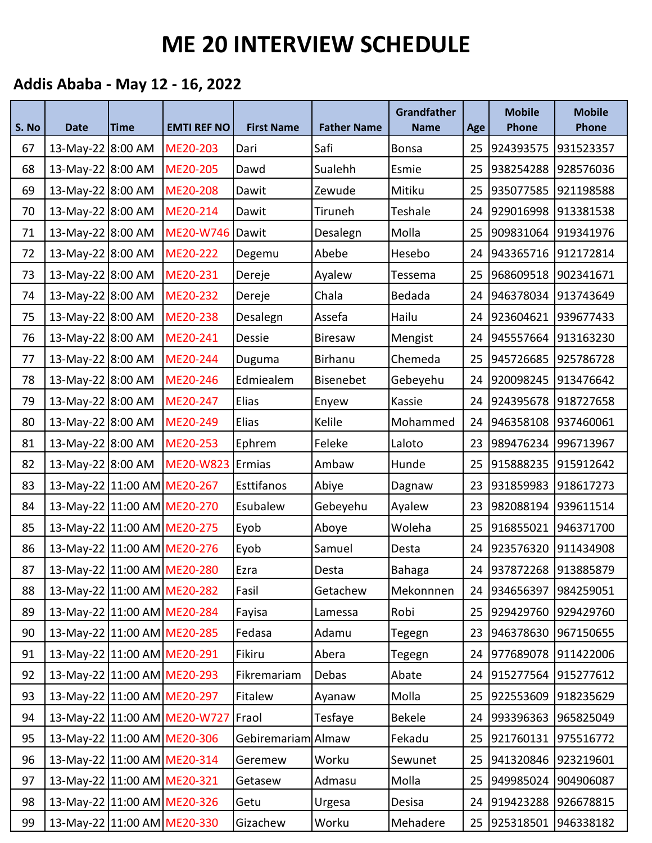| S. No | <b>Date</b>                 | <b>Time</b> | <b>EMTI REF NO</b>           | <b>First Name</b>  | <b>Father Name</b> | <b>Grandfather</b><br><b>Name</b> | Age | <b>Mobile</b><br><b>Phone</b> | <b>Mobile</b><br>Phone |
|-------|-----------------------------|-------------|------------------------------|--------------------|--------------------|-----------------------------------|-----|-------------------------------|------------------------|
| 67    | 13-May-22 8:00 AM           |             | ME20-203                     | Dari               | Safi               | <b>Bonsa</b>                      | 25  | 924393575                     | 931523357              |
| 68    | 13-May-22 8:00 AM           |             | ME20-205                     | Dawd               | Sualehh            | Esmie                             | 25  | 938254288                     | 928576036              |
| 69    | 13-May-22 8:00 AM           |             | ME20-208                     | Dawit              | Zewude             | Mitiku                            | 25  | 935077585                     | 921198588              |
| 70    | 13-May-22 8:00 AM           |             | ME20-214                     | Dawit              | Tiruneh            | Teshale                           | 24  | 929016998                     | 913381538              |
| 71    | 13-May-22 8:00 AM           |             | ME20-W746                    | Dawit              | Desalegn           | Molla                             | 25  | 909831064                     | 919341976              |
| 72    | 13-May-22 8:00 AM           |             | ME20-222                     | Degemu             | Abebe              | Hesebo                            | 24  | 943365716                     | 912172814              |
| 73    | 13-May-22 8:00 AM           |             | ME20-231                     | Dereje             | Ayalew             | Tessema                           | 25  | 968609518                     | 902341671              |
| 74    | 13-May-22 8:00 AM           |             | ME20-232                     | Dereje             | Chala              | Bedada                            | 24  | 946378034                     | 913743649              |
| 75    | 13-May-22 8:00 AM           |             | ME20-238                     | Desalegn           | Assefa             | Hailu                             | 24  | 923604621                     | 939677433              |
| 76    | 13-May-22 8:00 AM           |             | ME20-241                     | Dessie             | Biresaw            | Mengist                           | 24  | 945557664                     | 913163230              |
| 77    | 13-May-22 8:00 AM           |             | ME20-244                     | Duguma             | Birhanu            | Chemeda                           | 25  | 945726685                     | 925786728              |
| 78    | 13-May-22 8:00 AM           |             | ME20-246                     | Edmiealem          | Bisenebet          | Gebeyehu                          | 24  | 920098245                     | 913476642              |
| 79    | 13-May-22 8:00 AM           |             | ME20-247                     | Elias              | Enyew              | Kassie                            | 24  | 924395678                     | 918727658              |
| 80    | 13-May-22 8:00 AM           |             | ME20-249                     | Elias              | Kelile             | Mohammed                          | 24  | 946358108                     | 937460061              |
| 81    | 13-May-22 8:00 AM           |             | ME20-253                     | Ephrem             | Feleke             | Laloto                            | 23  | 989476234                     | 996713967              |
| 82    | 13-May-22 8:00 AM           |             | ME20-W823                    | Ermias             | Ambaw              | Hunde                             | 25  | 915888235                     | 915912642              |
| 83    | 13-May-22 11:00 AM ME20-267 |             |                              | Esttifanos         | Abiye              | Dagnaw                            | 23  | 931859983                     | 918617273              |
| 84    | 13-May-22 11:00 AM ME20-270 |             |                              | Esubalew           | Gebeyehu           | Ayalew                            | 23  | 982088194                     | 939611514              |
| 85    | 13-May-22 11:00 AM ME20-275 |             |                              | Eyob               | Aboye              | Woleha                            | 25  | 916855021                     | 946371700              |
| 86    | 13-May-22 11:00 AM ME20-276 |             |                              | Eyob               | Samuel             | Desta                             | 24  | 923576320                     | 911434908              |
| 87    | 13-May-22 11:00 AM ME20-280 |             |                              | Ezra               | Desta              | <b>Bahaga</b>                     |     | 24 937872268 913885879        |                        |
| 88    | 13-May-22 11:00 AM ME20-282 |             |                              | Fasil              | Getachew           | Mekonnnen                         | 24  | 934656397                     | 984259051              |
| 89    | 13-May-22 11:00 AM ME20-284 |             |                              | Fayisa             | Lamessa            | Robi                              | 25  | 929429760                     | 929429760              |
| 90    | 13-May-22 11:00 AM ME20-285 |             |                              | Fedasa             | Adamu              | Tegegn                            | 23  | 946378630                     | 967150655              |
| 91    | 13-May-22 11:00 AM ME20-291 |             |                              | Fikiru             | Abera              | Tegegn                            | 24  | 977689078                     | 911422006              |
| 92    | 13-May-22 11:00 AM ME20-293 |             |                              | Fikremariam        | Debas              | Abate                             | 24  | 915277564                     | 915277612              |
| 93    | 13-May-22 11:00 AM ME20-297 |             |                              | Fitalew            | Ayanaw             | Molla                             | 25  | 922553609                     | 918235629              |
| 94    |                             |             | 13-May-22 11:00 AM ME20-W727 | Fraol              | Tesfaye            | <b>Bekele</b>                     | 24  | 993396363                     | 965825049              |
| 95    | 13-May-22 11:00 AM ME20-306 |             |                              | Gebiremariam Almaw |                    | Fekadu                            | 25  | 921760131                     | 975516772              |
| 96    | 13-May-22 11:00 AM ME20-314 |             |                              | Geremew            | Worku              | Sewunet                           | 25  | 941320846                     | 923219601              |
| 97    | 13-May-22 11:00 AM ME20-321 |             |                              | Getasew            | Admasu             | Molla                             | 25  | 949985024                     | 904906087              |
| 98    | 13-May-22 11:00 AM ME20-326 |             |                              | Getu               | Urgesa             | Desisa                            | 24  | 919423288                     | 926678815              |
| 99    | 13-May-22 11:00 AM ME20-330 |             |                              | Gizachew           | Worku              | Mehadere                          |     | 25 925318501                  | 946338182              |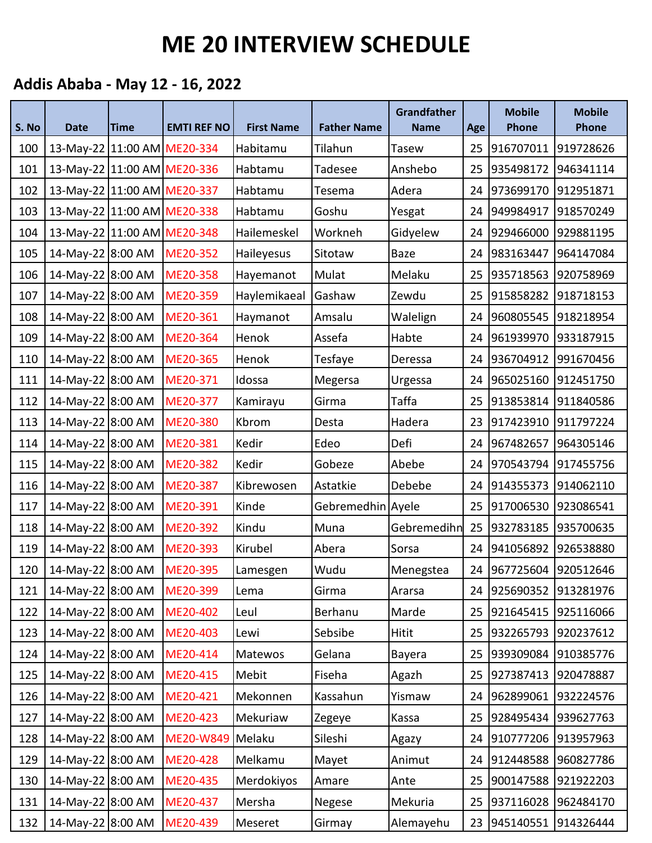| S. No | <b>Date</b>                     | <b>Time</b> | <b>EMTI REF NO</b> | <b>First Name</b> | <b>Father Name</b> | <b>Grandfather</b><br><b>Name</b> | Age | <b>Mobile</b><br>Phone | <b>Mobile</b><br>Phone |
|-------|---------------------------------|-------------|--------------------|-------------------|--------------------|-----------------------------------|-----|------------------------|------------------------|
| 100   | 13-May-22 11:00 AM ME20-334     |             |                    | Habitamu          | Tilahun            | Tasew                             | 25  | 916707011              | 919728626              |
| 101   | 13-May-22 11:00 AM ME20-336     |             |                    | Habtamu           | Tadesee            | Anshebo                           | 25  | 935498172              | 946341114              |
| 102   | 13-May-22   11:00 AM   ME20-337 |             |                    | Habtamu           | Tesema             | Adera                             | 24  | 973699170              | 912951871              |
| 103   | 13-May-22 11:00 AM ME20-338     |             |                    | Habtamu           | Goshu              | Yesgat                            | 24  | 949984917              | 918570249              |
| 104   | 13-May-22 11:00 AM ME20-348     |             |                    | Hailemeskel       | Workneh            | Gidyelew                          | 24  | 929466000              | 929881195              |
| 105   | 14-May-22 8:00 AM               |             | ME20-352           | Haileyesus        | Sitotaw            | Baze                              | 24  | 983163447              | 964147084              |
| 106   | 14-May-22 8:00 AM               |             | ME20-358           | Hayemanot         | Mulat              | Melaku                            | 25  | 935718563              | 920758969              |
| 107   | 14-May-22 8:00 AM               |             | ME20-359           | Haylemikaeal      | Gashaw             | Zewdu                             | 25  | 915858282              | 918718153              |
| 108   | 14-May-22 8:00 AM               |             | ME20-361           | Haymanot          | Amsalu             | Walelign                          | 24  | 960805545              | 918218954              |
| 109   | 14-May-22 8:00 AM               |             | ME20-364           | Henok             | Assefa             | Habte                             | 24  | 961939970              | 933187915              |
| 110   | 14-May-22 8:00 AM               |             | ME20-365           | Henok             | Tesfaye            | Deressa                           | 24  | 936704912              | 991670456              |
| 111   | 14-May-22 8:00 AM               |             | ME20-371           | Idossa            | Megersa            | Urgessa                           | 24  | 965025160              | 912451750              |
| 112   | 14-May-22 8:00 AM               |             | ME20-377           | Kamirayu          | Girma              | Taffa                             | 25  | 913853814              | 911840586              |
| 113   | 14-May-22 8:00 AM               |             | ME20-380           | Kbrom             | Desta              | Hadera                            | 23  | 917423910              | 911797224              |
| 114   | 14-May-22 8:00 AM               |             | ME20-381           | Kedir             | Edeo               | Defi                              | 24  | 967482657              | 964305146              |
| 115   | 14-May-22 8:00 AM               |             | ME20-382           | Kedir             | Gobeze             | Abebe                             | 24  | 970543794              | 917455756              |
| 116   | 14-May-22 8:00 AM               |             | ME20-387           | Kibrewosen        | Astatkie           | Debebe                            | 24  | 914355373              | 914062110              |
| 117   | 14-May-22 8:00 AM               |             | ME20-391           | Kinde             | Gebremedhin Ayele  |                                   | 25  | 917006530              | 923086541              |
| 118   | 14-May-22 8:00 AM               |             | ME20-392           | Kindu             | Muna               | Gebremedihn                       | 25  | 932783185              | 935700635              |
| 119   | 14-May-22 8:00 AM               |             | ME20-393           | Kirubel           | Abera              | Sorsa                             | 24  | 941056892              | 926538880              |
| 120   | 14-May-22 8:00 AM               |             | ME20-395           | Lamesgen          | Wudu               | Menegstea                         | 24  | 967725604 920512646    |                        |
| 121   | 14-May-22 8:00 AM               |             | ME20-399           | Lema              | Girma              | Ararsa                            | 24  | 925690352              | 913281976              |
| 122   | 14-May-22 8:00 AM               |             | ME20-402           | Leul              | Berhanu            | Marde                             | 25  | 921645415              | 925116066              |
| 123   | 14-May-22 8:00 AM               |             | ME20-403           | Lewi              | Sebsibe            | Hitit                             | 25  | 932265793              | 920237612              |
| 124   | 14-May-22 8:00 AM               |             | ME20-414           | Matewos           | Gelana             | <b>Bayera</b>                     | 25  | 939309084              | 910385776              |
| 125   | 14-May-22 8:00 AM               |             | ME20-415           | Mebit             | Fiseha             | Agazh                             | 25  | 927387413              | 920478887              |
| 126   | 14-May-22 8:00 AM               |             | ME20-421           | Mekonnen          | Kassahun           | Yismaw                            | 24  | 962899061              | 932224576              |
| 127   | 14-May-22 8:00 AM               |             | ME20-423           | Mekuriaw          | Zegeye             | Kassa                             | 25  | 928495434              | 939627763              |
| 128   | 14-May-22 8:00 AM               |             | ME20-W849          | Melaku            | Sileshi            | Agazy                             | 24  | 910777206              | 913957963              |
| 129   | 14-May-22 8:00 AM               |             | ME20-428           | Melkamu           | Mayet              | Animut                            | 24  | 912448588              | 960827786              |
| 130   | 14-May-22 8:00 AM               |             | ME20-435           | Merdokiyos        | Amare              | Ante                              | 25  | 900147588              | 921922203              |
| 131   | 14-May-22 8:00 AM               |             | ME20-437           | Mersha            | Negese             | Mekuria                           | 25  | 937116028              | 962484170              |
| 132   | 14-May-22 8:00 AM               |             | ME20-439           | Meseret           | Girmay             | Alemayehu                         |     | 23 945140551           | 914326444              |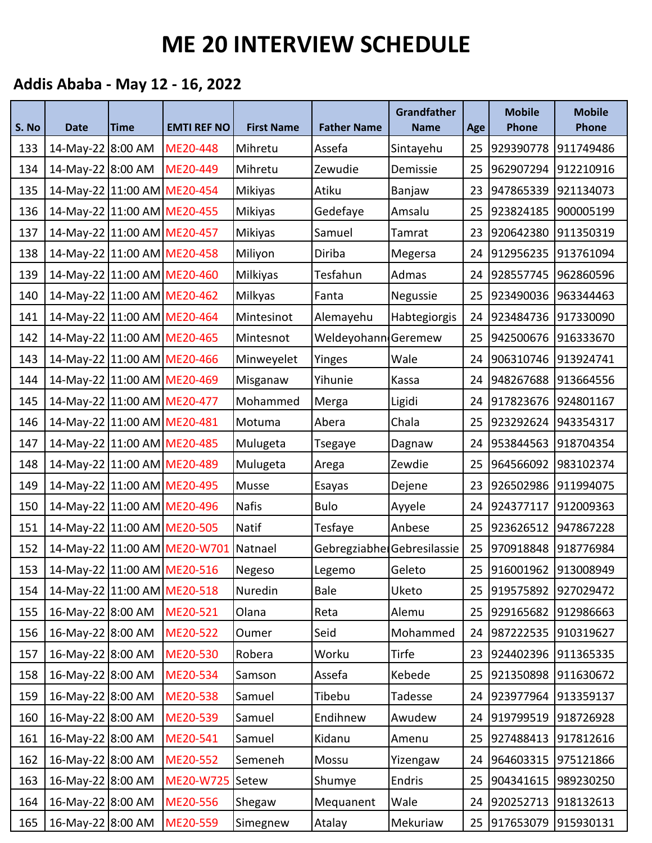| S. No | <b>Date</b>                 | <b>Time</b> | <b>EMTI REF NO</b>           | <b>First Name</b> | <b>Father Name</b>         | <b>Grandfather</b><br><b>Name</b> | Age | <b>Mobile</b><br>Phone | <b>Mobile</b><br>Phone |
|-------|-----------------------------|-------------|------------------------------|-------------------|----------------------------|-----------------------------------|-----|------------------------|------------------------|
| 133   | 14-May-22 8:00 AM           |             | ME20-448                     | Mihretu           | Assefa                     | Sintayehu                         | 25  | 929390778              | 911749486              |
| 134   | 14-May-22 8:00 AM           |             | ME20-449                     | Mihretu           | Zewudie                    | Demissie                          | 25  | 962907294              | 912210916              |
| 135   | 14-May-22 11:00 AM ME20-454 |             |                              | Mikiyas           | Atiku                      | Banjaw                            | 23  | 947865339              | 921134073              |
| 136   | 14-May-22 11:00 AM ME20-455 |             |                              | Mikiyas           | Gedefaye                   | Amsalu                            | 25  | 923824185              | 900005199              |
| 137   | 14-May-22 11:00 AM ME20-457 |             |                              | Mikiyas           | Samuel                     | Tamrat                            | 23  | 920642380              | 911350319              |
| 138   | 14-May-22 11:00 AM ME20-458 |             |                              | Miliyon           | Diriba                     | Megersa                           | 24  | 912956235              | 913761094              |
| 139   | 14-May-22 11:00 AM ME20-460 |             |                              | Milkiyas          | Tesfahun                   | Admas                             | 24  | 928557745              | 962860596              |
| 140   | 14-May-22 11:00 AM ME20-462 |             |                              | Milkyas           | Fanta                      | Negussie                          | 25  | 923490036              | 963344463              |
| 141   | 14-May-22 11:00 AM ME20-464 |             |                              | Mintesinot        | Alemayehu                  | Habtegiorgis                      | 24  | 923484736              | 917330090              |
| 142   | 14-May-22 11:00 AM ME20-465 |             |                              | Mintesnot         | Weldeyohann Geremew        |                                   | 25  | 942500676              | 916333670              |
| 143   | 14-May-22 11:00 AM ME20-466 |             |                              | Minweyelet        | Yinges                     | Wale                              | 24  | 906310746              | 913924741              |
| 144   | 14-May-22 11:00 AM ME20-469 |             |                              | Misganaw          | Yihunie                    | Kassa                             | 24  | 948267688              | 913664556              |
| 145   | 14-May-22 11:00 AM ME20-477 |             |                              | Mohammed          | Merga                      | Ligidi                            | 24  | 917823676              | 924801167              |
| 146   | 14-May-22 11:00 AM ME20-481 |             |                              | Motuma            | Abera                      | Chala                             | 25  | 923292624              | 943354317              |
| 147   | 14-May-22 11:00 AM ME20-485 |             |                              | Mulugeta          | <b>Tsegaye</b>             | Dagnaw                            | 24  | 953844563              | 918704354              |
| 148   | 14-May-22 11:00 AM ME20-489 |             |                              | Mulugeta          | Arega                      | Zewdie                            | 25  | 964566092              | 983102374              |
| 149   | 14-May-22 11:00 AM ME20-495 |             |                              | Musse             | Esayas                     | Dejene                            | 23  | 926502986              | 911994075              |
| 150   | 14-May-22 11:00 AM ME20-496 |             |                              | <b>Nafis</b>      | <b>Bulo</b>                | Ayyele                            | 24  | 924377117              | 912009363              |
| 151   | 14-May-22 11:00 AM ME20-505 |             |                              | Natif             | Tesfaye                    | Anbese                            | 25  | 923626512              | 947867228              |
| 152   |                             |             | 14-May-22 11:00 AM ME20-W701 | Natnael           | Gebregziabhe Gebresilassie |                                   | 25  | 970918848              | 918776984              |
| 153   | 14-May-22 11:00 AM ME20-516 |             |                              | Negeso            | Legemo                     | Geleto                            | 25  | 916001962              | 913008949              |
| 154   | 14-May-22 11:00 AM ME20-518 |             |                              | Nuredin           | Bale                       | Uketo                             | 25  | 919575892              | 927029472              |
| 155   | 16-May-22 8:00 AM           |             | ME20-521                     | Olana             | Reta                       | Alemu                             | 25  | 929165682              | 912986663              |
| 156   | 16-May-22 8:00 AM           |             | ME20-522                     | Oumer             | Seid                       | Mohammed                          | 24  | 987222535              | 910319627              |
| 157   | 16-May-22 8:00 AM           |             | ME20-530                     | Robera            | Worku                      | Tirfe                             | 23  | 924402396              | 911365335              |
| 158   | 16-May-22 8:00 AM           |             | ME20-534                     | Samson            | Assefa                     | Kebede                            | 25  | 921350898              | 911630672              |
| 159   | 16-May-22 8:00 AM           |             | ME20-538                     | Samuel            | Tibebu                     | Tadesse                           | 24  | 923977964              | 913359137              |
| 160   | 16-May-22 8:00 AM           |             | ME20-539                     | Samuel            | Endihnew                   | Awudew                            | 24  | 919799519              | 918726928              |
| 161   | 16-May-22 8:00 AM           |             | ME20-541                     | Samuel            | Kidanu                     | Amenu                             | 25  | 927488413              | 917812616              |
| 162   | 16-May-22 8:00 AM           |             | ME20-552                     | Semeneh           | Mossu                      | Yizengaw                          | 24  | 964603315              | 975121866              |
| 163   | 16-May-22 8:00 AM           |             | ME20-W725                    | Setew             | Shumye                     | Endris                            | 25  | 904341615              | 989230250              |
| 164   | 16-May-22 8:00 AM           |             | ME20-556                     | Shegaw            | Mequanent                  | Wale                              | 24  | 920252713              | 918132613              |
| 165   | 16-May-22 8:00 AM           |             | ME20-559                     | Simegnew          | Atalay                     | Mekuriaw                          |     | 25 917653079 915930131 |                        |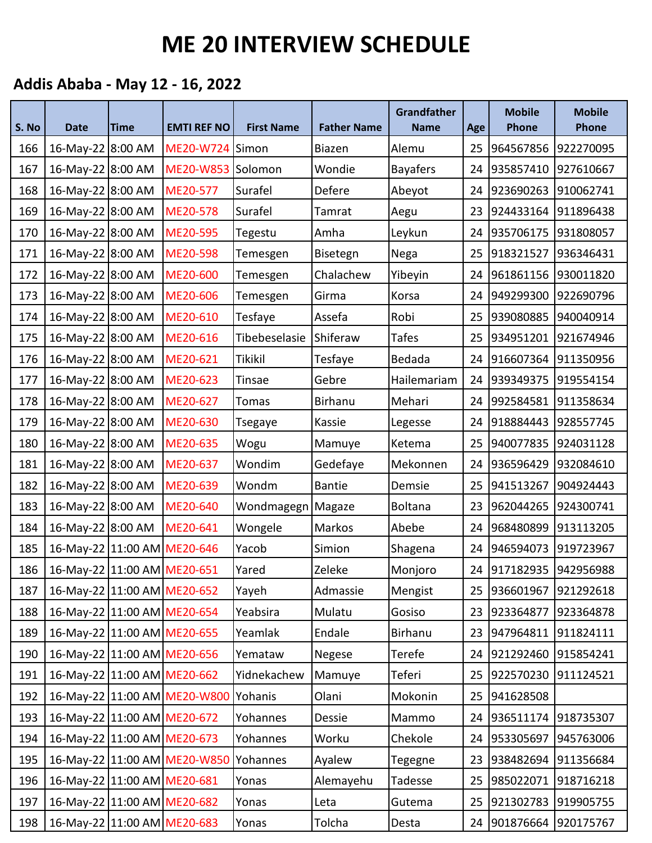| S. No | <b>Date</b>                 | <b>Time</b> | <b>EMTI REF NO</b>               | <b>First Name</b> | <b>Father Name</b> | <b>Grandfather</b><br><b>Name</b> | Age | <b>Mobile</b><br><b>Phone</b> | <b>Mobile</b><br><b>Phone</b> |
|-------|-----------------------------|-------------|----------------------------------|-------------------|--------------------|-----------------------------------|-----|-------------------------------|-------------------------------|
| 166   | 16-May-22 8:00 AM           |             | ME20-W724                        | Simon             | Biazen             | Alemu                             | 25  | 964567856                     | 922270095                     |
| 167   | 16-May-22 8:00 AM           |             | ME20-W853                        | Solomon           | Wondie             | <b>Bayafers</b>                   | 24  | 935857410                     | 927610667                     |
| 168   | 16-May-22 8:00 AM           |             | ME20-577                         | Surafel           | Defere             | Abeyot                            | 24  | 923690263                     | 910062741                     |
| 169   | 16-May-22 8:00 AM           |             | ME20-578                         | Surafel           | Tamrat             | Aegu                              | 23  | 924433164                     | 911896438                     |
| 170   | 16-May-22 8:00 AM           |             | ME20-595                         | Tegestu           | Amha               | Leykun                            | 24  | 935706175                     | 931808057                     |
| 171   | 16-May-22 8:00 AM           |             | ME20-598                         | Temesgen          | Bisetegn           | Nega                              | 25  | 918321527                     | 936346431                     |
| 172   | 16-May-22 8:00 AM           |             | ME20-600                         | Temesgen          | Chalachew          | Yibeyin                           | 24  | 961861156                     | 930011820                     |
| 173   | 16-May-22 8:00 AM           |             | ME20-606                         | Temesgen          | Girma              | Korsa                             | 24  | 949299300                     | 922690796                     |
| 174   | 16-May-22 8:00 AM           |             | ME20-610                         | Tesfaye           | Assefa             | Robi                              | 25  | 939080885                     | 940040914                     |
| 175   | 16-May-22 8:00 AM           |             | ME20-616                         | Tibebeselasie     | Shiferaw           | <b>Tafes</b>                      | 25  | 934951201                     | 921674946                     |
| 176   | 16-May-22 8:00 AM           |             | ME20-621                         | <b>Tikikil</b>    | Tesfaye            | Bedada                            | 24  | 916607364                     | 911350956                     |
| 177   | 16-May-22 8:00 AM           |             | ME20-623                         | Tinsae            | Gebre              | Hailemariam                       | 24  | 939349375                     | 919554154                     |
| 178   | 16-May-22 8:00 AM           |             | ME20-627                         | <b>Tomas</b>      | Birhanu            | Mehari                            | 24  | 992584581                     | 911358634                     |
| 179   | 16-May-22 8:00 AM           |             | ME20-630                         | Tsegaye           | Kassie             | Legesse                           | 24  | 918884443                     | 928557745                     |
| 180   | 16-May-22 8:00 AM           |             | ME20-635                         | Wogu              | Mamuye             | Ketema                            | 25  | 940077835                     | 924031128                     |
| 181   | 16-May-22 8:00 AM           |             | ME20-637                         | Wondim            | Gedefaye           | Mekonnen                          | 24  | 936596429                     | 932084610                     |
| 182   | 16-May-22 8:00 AM           |             | ME20-639                         | Wondm             | <b>Bantie</b>      | Demsie                            | 25  | 941513267                     | 904924443                     |
| 183   | 16-May-22 8:00 AM           |             | ME20-640                         | Wondmagegn        | Magaze             | <b>Boltana</b>                    | 23  | 962044265                     | 924300741                     |
| 184   | 16-May-22 8:00 AM           |             | ME20-641                         | Wongele           | Markos             | Abebe                             | 24  | 968480899                     | 913113205                     |
| 185   | 16-May-22 11:00 AM ME20-646 |             |                                  | Yacob             | Simion             | Shagena                           | 24  | 946594073                     | 919723967                     |
| 186   | 16-May-22 11:00 AM ME20-651 |             |                                  | Yared             | Zeleke             | Monjoro                           | 24  | 917182935                     | 942956988                     |
| 187   | 16-May-22 11:00 AM ME20-652 |             |                                  | Yayeh             | Admassie           | Mengist                           | 25  | 936601967                     | 921292618                     |
| 188   | 16-May-22 11:00 AM ME20-654 |             |                                  | Yeabsira          | Mulatu             | Gosiso                            | 23  | 923364877                     | 923364878                     |
| 189   | 16-May-22 11:00 AM ME20-655 |             |                                  | Yeamlak           | Endale             | Birhanu                           | 23  | 947964811                     | 911824111                     |
| 190   | 16-May-22 11:00 AM ME20-656 |             |                                  | Yemataw           | Negese             | Terefe                            | 24  | 921292460                     | 915854241                     |
| 191   | 16-May-22 11:00 AM ME20-662 |             |                                  | Yidnekachew       | Mamuye             | Teferi                            | 25  | 922570230                     | 911124521                     |
| 192   |                             |             | 16-May-22 11:00 AM ME20-W800     | Yohanis           | Olani              | Mokonin                           | 25  | 941628508                     |                               |
| 193   | 16-May-22 11:00 AM ME20-672 |             |                                  | Yohannes          | Dessie             | Mammo                             | 24  | 936511174                     | 918735307                     |
| 194   | 16-May-22 11:00 AM ME20-673 |             |                                  | Yohannes          | Worku              | Chekole                           | 24  | 953305697                     | 945763006                     |
| 195   |                             |             | 16-May-22   11:00 AM   ME20-W850 | Yohannes          | Ayalew             | Tegegne                           | 23  | 938482694                     | 911356684                     |
| 196   | 16-May-22 11:00 AM ME20-681 |             |                                  | Yonas             | Alemayehu          | Tadesse                           | 25  | 985022071                     | 918716218                     |
| 197   | 16-May-22 11:00 AM ME20-682 |             |                                  | Yonas             | Leta               | Gutema                            | 25  | 921302783                     | 919905755                     |
| 198   | 16-May-22 11:00 AM ME20-683 |             |                                  | Yonas             | Tolcha             | Desta                             | 24  | 901876664                     | 920175767                     |